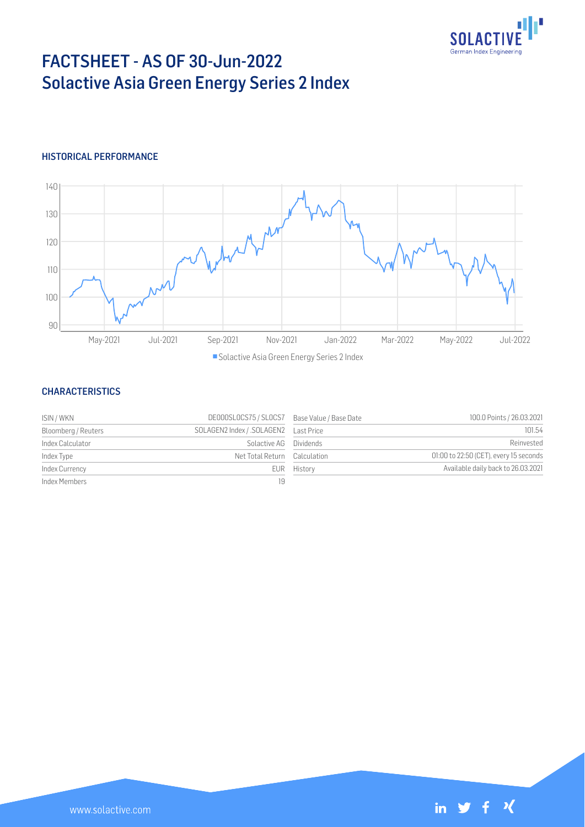

# FACTSHEET - AS OF 30-Jun-2022 Solactive Asia Green Energy Series 2 Index

## HISTORICAL PERFORMANCE



## **CHARACTERISTICS**

| ISIN / WKN          | DE000SLOCS75 / SLOCS7 Base Value / Base Date |             | 100.0 Points / 26.03.2021              |
|---------------------|----------------------------------------------|-------------|----------------------------------------|
| Bloomberg / Reuters |                                              |             | 101.54                                 |
| Index Calculator    | Solactive AG Dividends                       |             | Reinvested                             |
| Index Type          | Net Total Return Calculation                 |             | 01:00 to 22:50 (CET), every 15 seconds |
| Index Currency      |                                              | EUR History | Available daily back to 26.03.2021     |
| Index Members       | 19                                           |             |                                        |

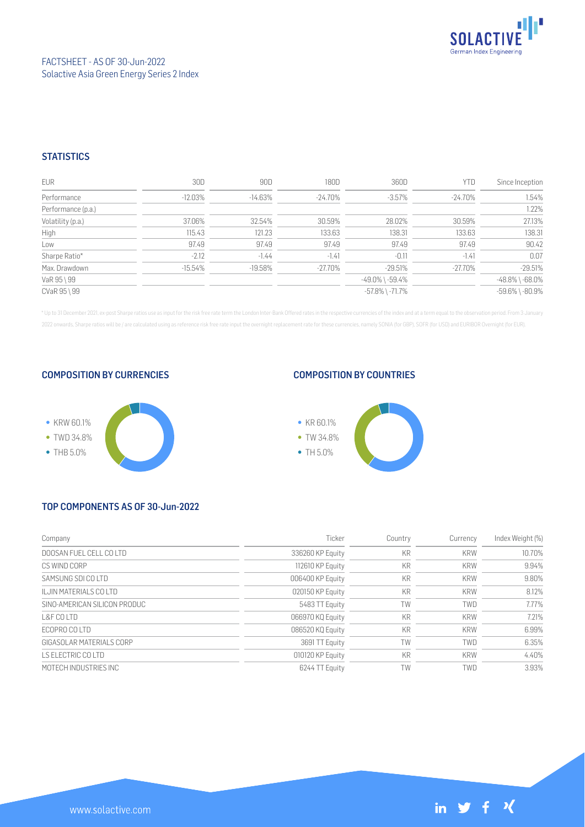

## **STATISTICS**

| <b>EUR</b>         | 30D        | 90D        | 180D       | 360D                  | <b>YTD</b> | Since Inception       |
|--------------------|------------|------------|------------|-----------------------|------------|-----------------------|
| Performance        | $-12.03\%$ | $-14.63\%$ | $-24.70\%$ | $-3.57\%$             | $-24.70\%$ | 1.54%                 |
| Performance (p.a.) |            |            |            |                       |            | 1.22%                 |
| Volatility (p.a.)  | 37.06%     | 32.54%     | 30.59%     | 28.02%                | 30.59%     | 27.13%                |
| High               | 115.43     | 121.23     | 133.63     | 138.31                | 133.63     | 138.31                |
| Low                | 97.49      | 97.49      | 97.49      | 97.49                 | 97.49      | 90.42                 |
| Sharpe Ratio*      | $-2.12$    | $-1.44$    | $-1.41$    | $-0.11$               | $-1.41$    | 0.07                  |
| Max. Drawdown      | $-15.54\%$ | $-19.58%$  | $-27.70%$  | $-29.51%$             | $-27.70%$  | $-29.51%$             |
| VaR 95 \ 99        |            |            |            | $-49.0\%$ \ $-59.4\%$ |            | $-48.8\%$ \ $-68.0\%$ |
| CVaR 95 \ 99       |            |            |            | $-57.8\%$ \ $-71.7\%$ |            | $-59.6\%$ \ $-80.9\%$ |

\* Up to 31 December 2021, ex-post Sharpe ratios use as input for the risk free rate term the London Inter-Bank Offered rates in the respective currencies of the index and at a term equal to the observation period. From 3 J 2022 onwards, Sharpe ratios will be / are calculated using as reference risk free rate input the overnight replacement rate for these currencies, namely SONIA (for GBP), SOFR (for USD) and EURIBOR Overnight (for EUR).

#### COMPOSITION BY CURRENCIES



## COMPOSITION BY COUNTRIES



# TOP COMPONENTS AS OF 30-Jun-2022

| Company                      | Ticker           | Country   | Currency   | Index Weight (%) |
|------------------------------|------------------|-----------|------------|------------------|
| DOOSAN FUEL CELL COLTD       | 336260 KP Equity | KR        | <b>KRW</b> | 10.70%           |
| CS WIND CORP                 | 112610 KP Equity | KR        | <b>KRW</b> | 9.94%            |
| SAMSUNG SDLCO LTD            | 006400 KP Equity | <b>KR</b> | <b>KRW</b> | 9.80%            |
| II JIN MATERIALS CO LTD      | 020150 KP Equity | KR        | <b>KRW</b> | 8.12%            |
| SINO-AMERICAN SILICON PRODUC | 5483 TT Equity   | TW        | TWD        | 7.77%            |
| L&F COLTD                    | 066970 KQ Equity | <b>KR</b> | <b>KRW</b> | 7.21%            |
| FCOPRO COITD                 | 086520 KQ Equity | KR        | <b>KRW</b> | 6.99%            |
| GIGASOLAR MATERIALS CORP     | 3691 TT Equity   | TW        | <b>TWD</b> | 6.35%            |
| IS FLECTRIC COLTD            | 010120 KP Equity | KR        | <b>KRW</b> | 4.40%            |
| MOTECH INDUSTRIES INC        | 6244 TT Equity   | TW        | TWD        | 3.93%            |